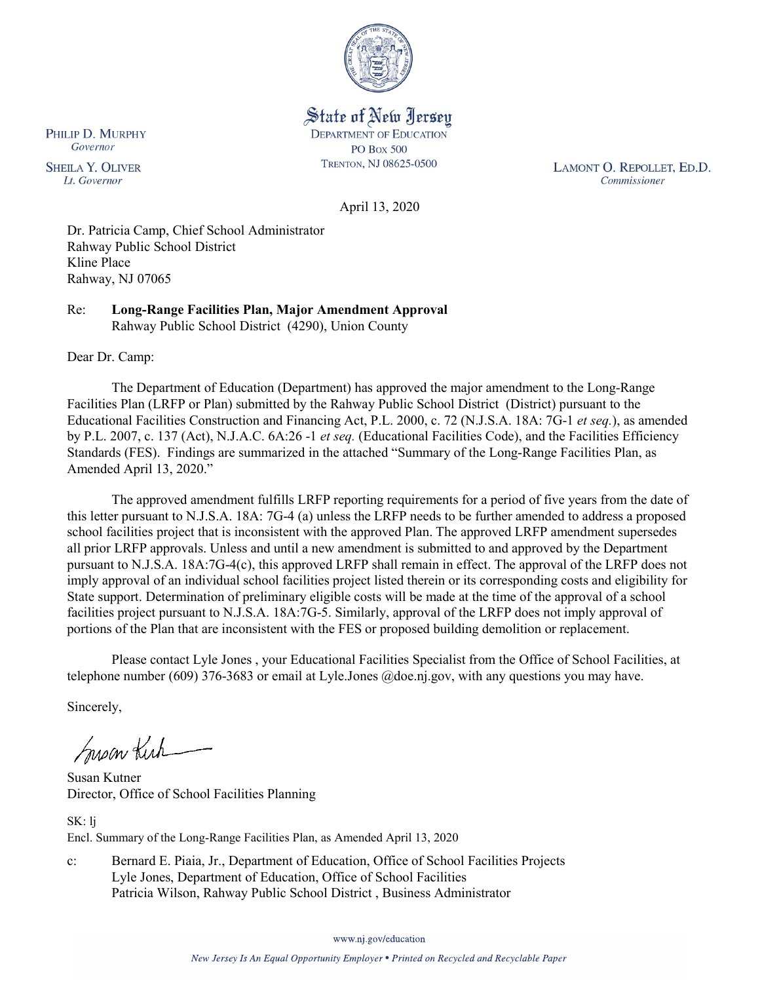

State of New Jersey **DEPARTMENT OF EDUCATION PO Box 500** TRENTON, NJ 08625-0500

LAMONT O. REPOLLET, ED.D. Commissioner

April 13, 2020

Dr. Patricia Camp, Chief School Administrator Rahway Public School District Kline Place Rahway, NJ 07065

Re: **Long-Range Facilities Plan, Major Amendment Approval** Rahway Public School District (4290), Union County

Dear Dr. Camp:

The Department of Education (Department) has approved the major amendment to the Long-Range Facilities Plan (LRFP or Plan) submitted by the Rahway Public School District (District) pursuant to the Educational Facilities Construction and Financing Act, P.L. 2000, c. 72 (N.J.S.A. 18A: 7G-1 *et seq.*), as amended by P.L. 2007, c. 137 (Act), N.J.A.C. 6A:26 -1 *et seq.* (Educational Facilities Code), and the Facilities Efficiency Standards (FES). Findings are summarized in the attached "Summary of the Long-Range Facilities Plan, as Amended April 13, 2020."

The approved amendment fulfills LRFP reporting requirements for a period of five years from the date of this letter pursuant to N.J.S.A. 18A: 7G-4 (a) unless the LRFP needs to be further amended to address a proposed school facilities project that is inconsistent with the approved Plan. The approved LRFP amendment supersedes all prior LRFP approvals. Unless and until a new amendment is submitted to and approved by the Department pursuant to N.J.S.A. 18A:7G-4(c), this approved LRFP shall remain in effect. The approval of the LRFP does not imply approval of an individual school facilities project listed therein or its corresponding costs and eligibility for State support. Determination of preliminary eligible costs will be made at the time of the approval of a school facilities project pursuant to N.J.S.A. 18A:7G-5. Similarly, approval of the LRFP does not imply approval of portions of the Plan that are inconsistent with the FES or proposed building demolition or replacement.

Please contact Lyle Jones , your Educational Facilities Specialist from the Office of School Facilities, at telephone number (609) 376-3683 or email at Lyle.Jones @doe.nj.gov, with any questions you may have.

Sincerely,

Susan Kich

Susan Kutner Director, Office of School Facilities Planning

SK: lj Encl. Summary of the Long-Range Facilities Plan, as Amended April 13, 2020

c: Bernard E. Piaia, Jr., Department of Education, Office of School Facilities Projects Lyle Jones, Department of Education, Office of School Facilities Patricia Wilson, Rahway Public School District , Business Administrator

www.nj.gov/education

PHILIP D. MURPHY Governor

**SHEILA Y. OLIVER** Lt. Governor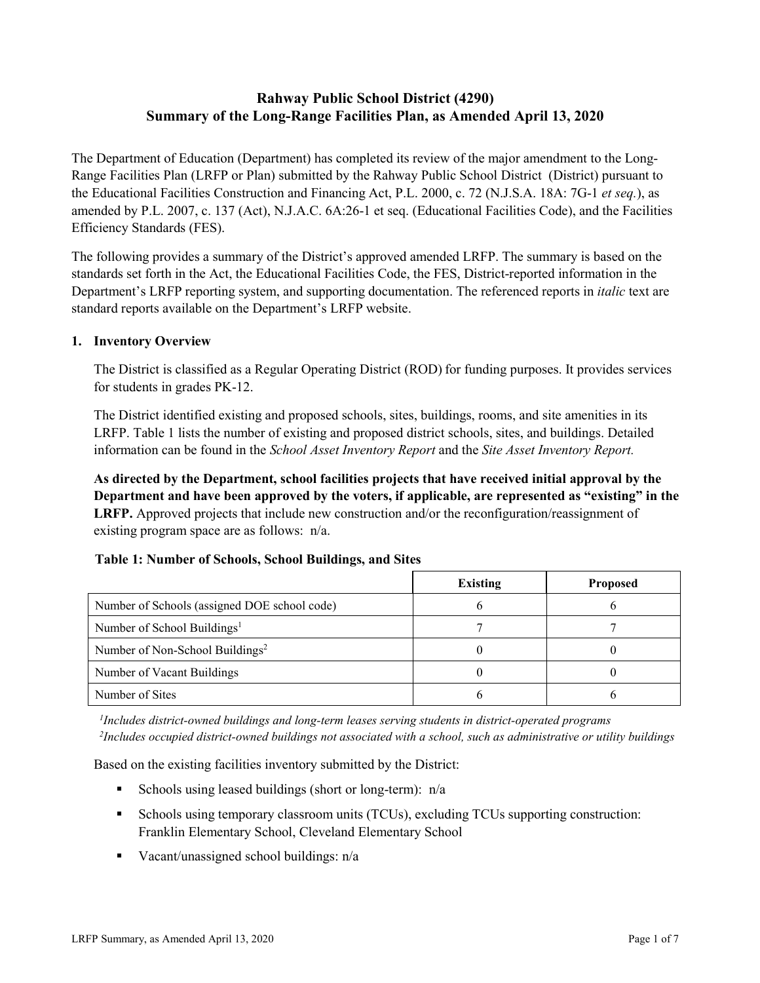# **Rahway Public School District (4290) Summary of the Long-Range Facilities Plan, as Amended April 13, 2020**

The Department of Education (Department) has completed its review of the major amendment to the Long-Range Facilities Plan (LRFP or Plan) submitted by the Rahway Public School District (District) pursuant to the Educational Facilities Construction and Financing Act, P.L. 2000, c. 72 (N.J.S.A. 18A: 7G-1 *et seq.*), as amended by P.L. 2007, c. 137 (Act), N.J.A.C. 6A:26-1 et seq. (Educational Facilities Code), and the Facilities Efficiency Standards (FES).

The following provides a summary of the District's approved amended LRFP. The summary is based on the standards set forth in the Act, the Educational Facilities Code, the FES, District-reported information in the Department's LRFP reporting system, and supporting documentation. The referenced reports in *italic* text are standard reports available on the Department's LRFP website.

### **1. Inventory Overview**

The District is classified as a Regular Operating District (ROD) for funding purposes. It provides services for students in grades PK-12.

The District identified existing and proposed schools, sites, buildings, rooms, and site amenities in its LRFP. Table 1 lists the number of existing and proposed district schools, sites, and buildings. Detailed information can be found in the *School Asset Inventory Report* and the *Site Asset Inventory Report.*

**As directed by the Department, school facilities projects that have received initial approval by the Department and have been approved by the voters, if applicable, are represented as "existing" in the LRFP.** Approved projects that include new construction and/or the reconfiguration/reassignment of existing program space are as follows: n/a.

#### **Table 1: Number of Schools, School Buildings, and Sites**

|                                              | <b>Existing</b> | <b>Proposed</b> |
|----------------------------------------------|-----------------|-----------------|
| Number of Schools (assigned DOE school code) |                 |                 |
| Number of School Buildings <sup>1</sup>      |                 |                 |
| Number of Non-School Buildings <sup>2</sup>  |                 |                 |
| Number of Vacant Buildings                   |                 |                 |
| Number of Sites                              |                 |                 |

*1 Includes district-owned buildings and long-term leases serving students in district-operated programs 2 Includes occupied district-owned buildings not associated with a school, such as administrative or utility buildings*

Based on the existing facilities inventory submitted by the District:

- Schools using leased buildings (short or long-term):  $n/a$
- Schools using temporary classroom units (TCUs), excluding TCUs supporting construction: Franklin Elementary School, Cleveland Elementary School
- Vacant/unassigned school buildings:  $n/a$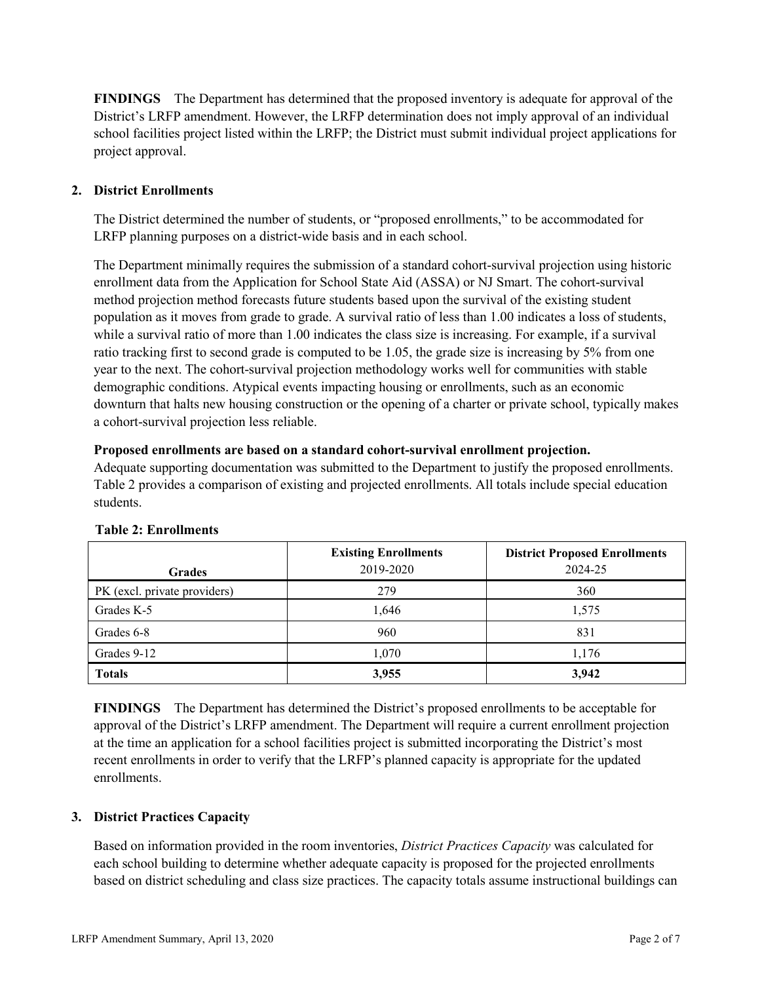**FINDINGS** The Department has determined that the proposed inventory is adequate for approval of the District's LRFP amendment. However, the LRFP determination does not imply approval of an individual school facilities project listed within the LRFP; the District must submit individual project applications for project approval.

# **2. District Enrollments**

The District determined the number of students, or "proposed enrollments," to be accommodated for LRFP planning purposes on a district-wide basis and in each school.

The Department minimally requires the submission of a standard cohort-survival projection using historic enrollment data from the Application for School State Aid (ASSA) or NJ Smart. The cohort-survival method projection method forecasts future students based upon the survival of the existing student population as it moves from grade to grade. A survival ratio of less than 1.00 indicates a loss of students, while a survival ratio of more than 1.00 indicates the class size is increasing. For example, if a survival ratio tracking first to second grade is computed to be 1.05, the grade size is increasing by 5% from one year to the next. The cohort-survival projection methodology works well for communities with stable demographic conditions. Atypical events impacting housing or enrollments, such as an economic downturn that halts new housing construction or the opening of a charter or private school, typically makes a cohort-survival projection less reliable.

### **Proposed enrollments are based on a standard cohort-survival enrollment projection.**

Adequate supporting documentation was submitted to the Department to justify the proposed enrollments. Table 2 provides a comparison of existing and projected enrollments. All totals include special education students.

|                              | <b>Existing Enrollments</b> | <b>District Proposed Enrollments</b> |
|------------------------------|-----------------------------|--------------------------------------|
| <b>Grades</b>                | 2019-2020                   | 2024-25                              |
| PK (excl. private providers) | 279                         | 360                                  |
| Grades K-5                   | 1,646                       | 1,575                                |
| Grades 6-8                   | 960                         | 831                                  |
| Grades 9-12                  | 1,070                       | 1,176                                |
| <b>Totals</b>                | 3,955                       | 3,942                                |

#### **Table 2: Enrollments**

**FINDINGS** The Department has determined the District's proposed enrollments to be acceptable for approval of the District's LRFP amendment. The Department will require a current enrollment projection at the time an application for a school facilities project is submitted incorporating the District's most recent enrollments in order to verify that the LRFP's planned capacity is appropriate for the updated enrollments.

# **3. District Practices Capacity**

Based on information provided in the room inventories, *District Practices Capacity* was calculated for each school building to determine whether adequate capacity is proposed for the projected enrollments based on district scheduling and class size practices. The capacity totals assume instructional buildings can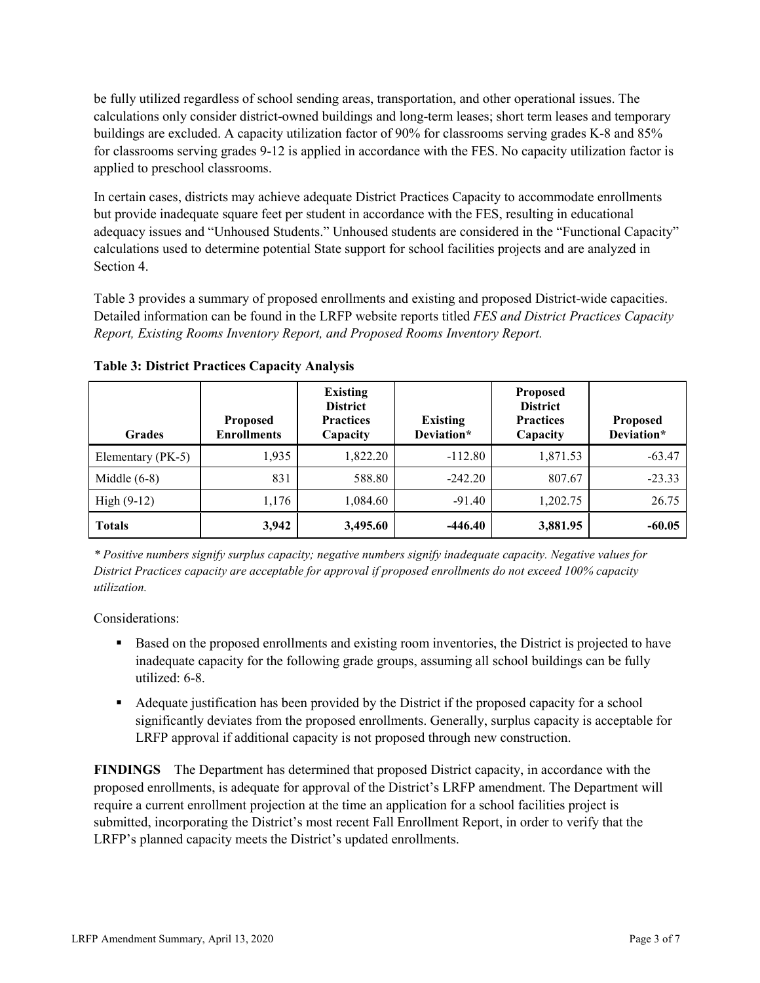be fully utilized regardless of school sending areas, transportation, and other operational issues. The calculations only consider district-owned buildings and long-term leases; short term leases and temporary buildings are excluded. A capacity utilization factor of 90% for classrooms serving grades K-8 and 85% for classrooms serving grades 9-12 is applied in accordance with the FES. No capacity utilization factor is applied to preschool classrooms.

In certain cases, districts may achieve adequate District Practices Capacity to accommodate enrollments but provide inadequate square feet per student in accordance with the FES, resulting in educational adequacy issues and "Unhoused Students." Unhoused students are considered in the "Functional Capacity" calculations used to determine potential State support for school facilities projects and are analyzed in Section 4.

Table 3 provides a summary of proposed enrollments and existing and proposed District-wide capacities. Detailed information can be found in the LRFP website reports titled *FES and District Practices Capacity Report, Existing Rooms Inventory Report, and Proposed Rooms Inventory Report.*

| <b>Grades</b>     | <b>Proposed</b><br><b>Enrollments</b> | <b>Existing</b><br><b>District</b><br><b>Practices</b><br>Capacity | <b>Existing</b><br>Deviation* | <b>Proposed</b><br><b>District</b><br><b>Practices</b><br>Capacity | <b>Proposed</b><br>Deviation* |
|-------------------|---------------------------------------|--------------------------------------------------------------------|-------------------------------|--------------------------------------------------------------------|-------------------------------|
| Elementary (PK-5) | 1,935                                 | 1,822.20                                                           | $-112.80$                     | 1,871.53                                                           | $-63.47$                      |
| Middle $(6-8)$    | 831                                   | 588.80                                                             | $-242.20$                     | 807.67                                                             | $-23.33$                      |
| High $(9-12)$     | 1,176                                 | 1,084.60                                                           | $-91.40$                      | 1,202.75                                                           | 26.75                         |
| <b>Totals</b>     | 3,942                                 | 3,495.60                                                           | $-446.40$                     | 3,881.95                                                           | $-60.05$                      |

**Table 3: District Practices Capacity Analysis**

*\* Positive numbers signify surplus capacity; negative numbers signify inadequate capacity. Negative values for District Practices capacity are acceptable for approval if proposed enrollments do not exceed 100% capacity utilization.*

Considerations:

- **Based on the proposed enrollments and existing room inventories, the District is projected to have** inadequate capacity for the following grade groups, assuming all school buildings can be fully utilized: 6-8.
- Adequate justification has been provided by the District if the proposed capacity for a school significantly deviates from the proposed enrollments. Generally, surplus capacity is acceptable for LRFP approval if additional capacity is not proposed through new construction.

**FINDINGS**The Department has determined that proposed District capacity, in accordance with the proposed enrollments, is adequate for approval of the District's LRFP amendment. The Department will require a current enrollment projection at the time an application for a school facilities project is submitted, incorporating the District's most recent Fall Enrollment Report, in order to verify that the LRFP's planned capacity meets the District's updated enrollments.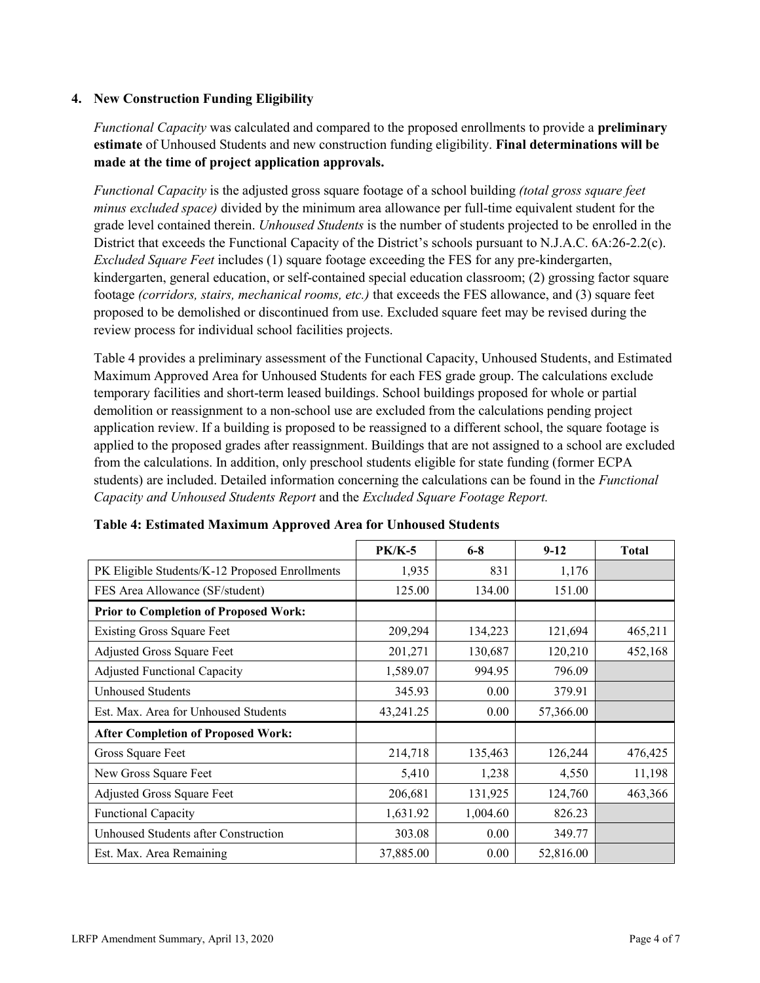### **4. New Construction Funding Eligibility**

*Functional Capacity* was calculated and compared to the proposed enrollments to provide a **preliminary estimate** of Unhoused Students and new construction funding eligibility. **Final determinations will be made at the time of project application approvals.**

*Functional Capacity* is the adjusted gross square footage of a school building *(total gross square feet minus excluded space)* divided by the minimum area allowance per full-time equivalent student for the grade level contained therein. *Unhoused Students* is the number of students projected to be enrolled in the District that exceeds the Functional Capacity of the District's schools pursuant to N.J.A.C. 6A:26-2.2(c). *Excluded Square Feet* includes (1) square footage exceeding the FES for any pre-kindergarten, kindergarten, general education, or self-contained special education classroom; (2) grossing factor square footage *(corridors, stairs, mechanical rooms, etc.)* that exceeds the FES allowance, and (3) square feet proposed to be demolished or discontinued from use. Excluded square feet may be revised during the review process for individual school facilities projects.

Table 4 provides a preliminary assessment of the Functional Capacity, Unhoused Students, and Estimated Maximum Approved Area for Unhoused Students for each FES grade group. The calculations exclude temporary facilities and short-term leased buildings. School buildings proposed for whole or partial demolition or reassignment to a non-school use are excluded from the calculations pending project application review. If a building is proposed to be reassigned to a different school, the square footage is applied to the proposed grades after reassignment. Buildings that are not assigned to a school are excluded from the calculations. In addition, only preschool students eligible for state funding (former ECPA students) are included. Detailed information concerning the calculations can be found in the *Functional Capacity and Unhoused Students Report* and the *Excluded Square Footage Report.*

|                                                | <b>PK/K-5</b> | $6 - 8$  | $9-12$    | <b>Total</b> |
|------------------------------------------------|---------------|----------|-----------|--------------|
| PK Eligible Students/K-12 Proposed Enrollments | 1,935         | 831      | 1,176     |              |
| FES Area Allowance (SF/student)                | 125.00        | 134.00   | 151.00    |              |
| <b>Prior to Completion of Proposed Work:</b>   |               |          |           |              |
| <b>Existing Gross Square Feet</b>              | 209,294       | 134,223  | 121,694   | 465,211      |
| Adjusted Gross Square Feet                     | 201,271       | 130,687  | 120,210   | 452,168      |
| <b>Adjusted Functional Capacity</b>            | 1,589.07      | 994.95   | 796.09    |              |
| Unhoused Students                              | 345.93        | 0.00     | 379.91    |              |
| Est. Max. Area for Unhoused Students           | 43,241.25     | 0.00     | 57,366.00 |              |
| <b>After Completion of Proposed Work:</b>      |               |          |           |              |
| Gross Square Feet                              | 214,718       | 135,463  | 126,244   | 476,425      |
| New Gross Square Feet                          | 5,410         | 1,238    | 4,550     | 11,198       |
| Adjusted Gross Square Feet                     | 206,681       | 131,925  | 124,760   | 463,366      |
| Functional Capacity                            | 1,631.92      | 1,004.60 | 826.23    |              |
| Unhoused Students after Construction           | 303.08        | 0.00     | 349.77    |              |
| Est. Max. Area Remaining                       | 37,885.00     | 0.00     | 52,816.00 |              |

**Table 4: Estimated Maximum Approved Area for Unhoused Students**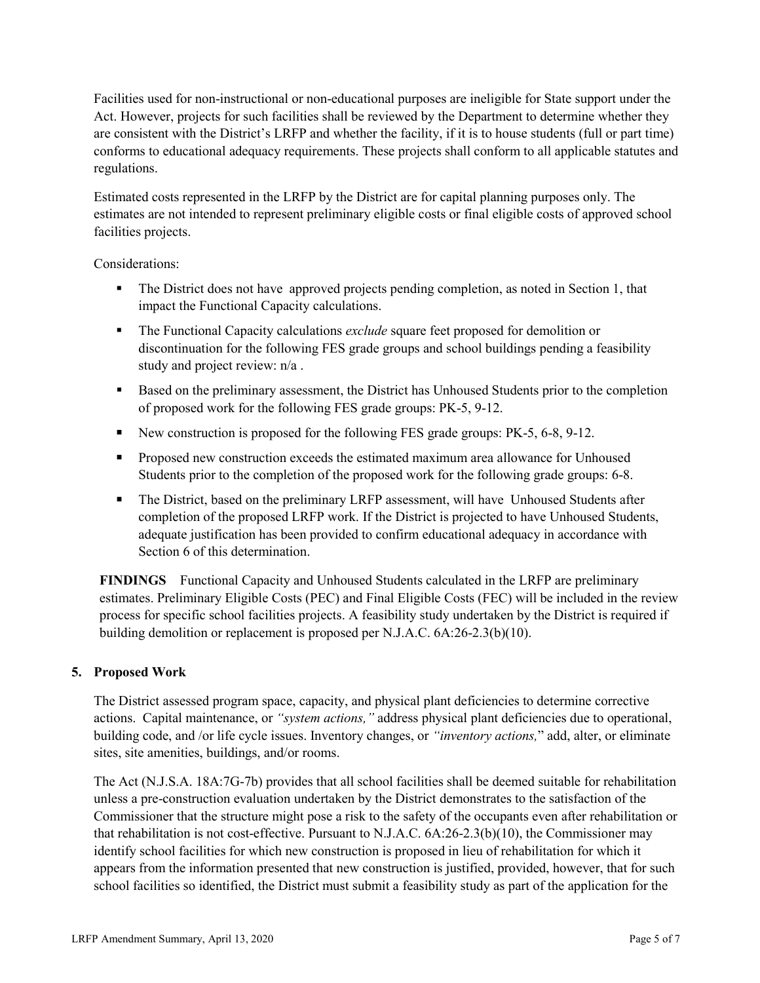Facilities used for non-instructional or non-educational purposes are ineligible for State support under the Act. However, projects for such facilities shall be reviewed by the Department to determine whether they are consistent with the District's LRFP and whether the facility, if it is to house students (full or part time) conforms to educational adequacy requirements. These projects shall conform to all applicable statutes and regulations.

Estimated costs represented in the LRFP by the District are for capital planning purposes only. The estimates are not intended to represent preliminary eligible costs or final eligible costs of approved school facilities projects.

Considerations:

- The District does not have approved projects pending completion, as noted in Section 1, that impact the Functional Capacity calculations.
- The Functional Capacity calculations *exclude* square feet proposed for demolition or discontinuation for the following FES grade groups and school buildings pending a feasibility study and project review: n/a .
- Based on the preliminary assessment, the District has Unhoused Students prior to the completion of proposed work for the following FES grade groups: PK-5, 9-12.
- New construction is proposed for the following FES grade groups: PK-5, 6-8, 9-12.
- **Proposed new construction exceeds the estimated maximum area allowance for Unhoused** Students prior to the completion of the proposed work for the following grade groups: 6-8.
- The District, based on the preliminary LRFP assessment, will have Unhoused Students after completion of the proposed LRFP work. If the District is projected to have Unhoused Students, adequate justification has been provided to confirm educational adequacy in accordance with Section 6 of this determination.

**FINDINGS** Functional Capacity and Unhoused Students calculated in the LRFP are preliminary estimates. Preliminary Eligible Costs (PEC) and Final Eligible Costs (FEC) will be included in the review process for specific school facilities projects. A feasibility study undertaken by the District is required if building demolition or replacement is proposed per N.J.A.C. 6A:26-2.3(b)(10).

# **5. Proposed Work**

The District assessed program space, capacity, and physical plant deficiencies to determine corrective actions. Capital maintenance, or *"system actions,"* address physical plant deficiencies due to operational, building code, and /or life cycle issues. Inventory changes, or *"inventory actions,*" add, alter, or eliminate sites, site amenities, buildings, and/or rooms.

The Act (N.J.S.A. 18A:7G-7b) provides that all school facilities shall be deemed suitable for rehabilitation unless a pre-construction evaluation undertaken by the District demonstrates to the satisfaction of the Commissioner that the structure might pose a risk to the safety of the occupants even after rehabilitation or that rehabilitation is not cost-effective. Pursuant to N.J.A.C. 6A:26-2.3(b)(10), the Commissioner may identify school facilities for which new construction is proposed in lieu of rehabilitation for which it appears from the information presented that new construction is justified, provided, however, that for such school facilities so identified, the District must submit a feasibility study as part of the application for the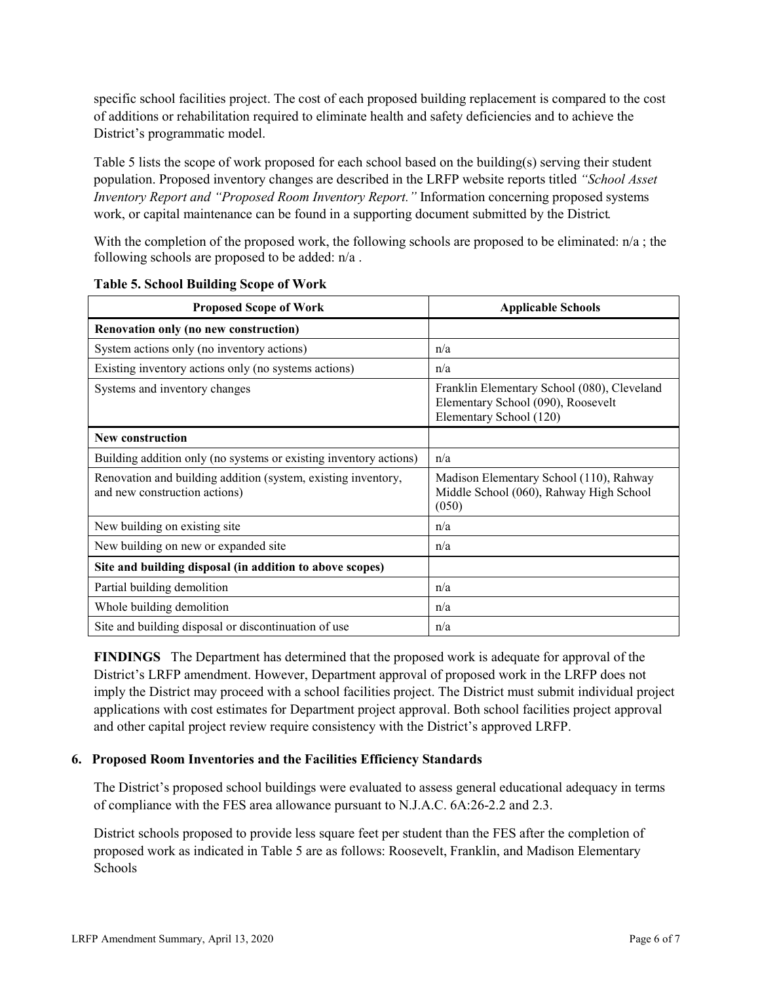specific school facilities project. The cost of each proposed building replacement is compared to the cost of additions or rehabilitation required to eliminate health and safety deficiencies and to achieve the District's programmatic model.

Table 5 lists the scope of work proposed for each school based on the building(s) serving their student population. Proposed inventory changes are described in the LRFP website reports titled *"School Asset Inventory Report and "Proposed Room Inventory Report."* Information concerning proposed systems work, or capital maintenance can be found in a supporting document submitted by the District.

With the completion of the proposed work, the following schools are proposed to be eliminated:  $n/a$ ; the following schools are proposed to be added: n/a .

| <b>Proposed Scope of Work</b>                                                                  | <b>Applicable Schools</b>                                                                                    |
|------------------------------------------------------------------------------------------------|--------------------------------------------------------------------------------------------------------------|
| Renovation only (no new construction)                                                          |                                                                                                              |
| System actions only (no inventory actions)                                                     | n/a                                                                                                          |
| Existing inventory actions only (no systems actions)                                           | n/a                                                                                                          |
| Systems and inventory changes                                                                  | Franklin Elementary School (080), Cleveland<br>Elementary School (090), Roosevelt<br>Elementary School (120) |
| <b>New construction</b>                                                                        |                                                                                                              |
| Building addition only (no systems or existing inventory actions)                              | n/a                                                                                                          |
| Renovation and building addition (system, existing inventory,<br>and new construction actions) | Madison Elementary School (110), Rahway<br>Middle School (060), Rahway High School<br>(050)                  |
| New building on existing site                                                                  | n/a                                                                                                          |
| New building on new or expanded site                                                           | n/a                                                                                                          |
| Site and building disposal (in addition to above scopes)                                       |                                                                                                              |
| Partial building demolition                                                                    | n/a                                                                                                          |
| Whole building demolition                                                                      | n/a                                                                                                          |
| Site and building disposal or discontinuation of use                                           | n/a                                                                                                          |

**Table 5. School Building Scope of Work**

**FINDINGS** The Department has determined that the proposed work is adequate for approval of the District's LRFP amendment. However, Department approval of proposed work in the LRFP does not imply the District may proceed with a school facilities project. The District must submit individual project applications with cost estimates for Department project approval. Both school facilities project approval and other capital project review require consistency with the District's approved LRFP.

#### **6. Proposed Room Inventories and the Facilities Efficiency Standards**

The District's proposed school buildings were evaluated to assess general educational adequacy in terms of compliance with the FES area allowance pursuant to N.J.A.C. 6A:26-2.2 and 2.3.

District schools proposed to provide less square feet per student than the FES after the completion of proposed work as indicated in Table 5 are as follows: Roosevelt, Franklin, and Madison Elementary Schools